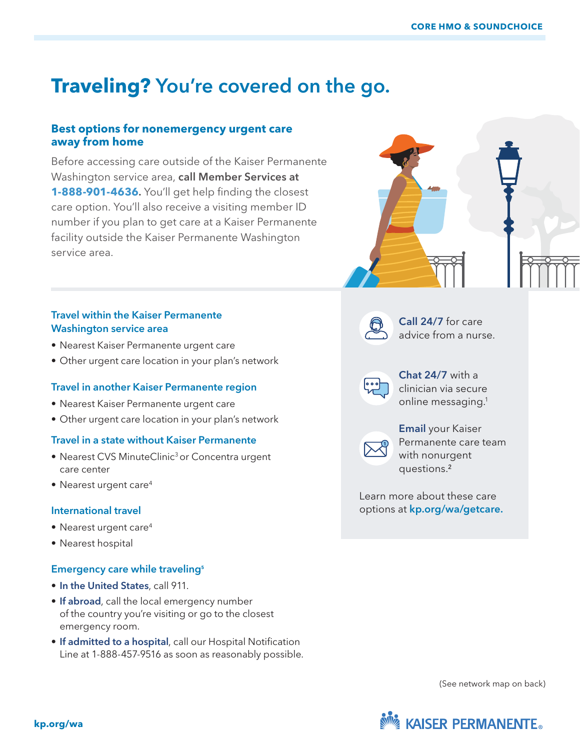## **Traveling?** You're covered on the go.

## **Best options for nonemergency urgent care away from home**

Before accessing care outside of the Kaiser Permanente Washington service area, call Member Services at **1-888-901-4636**. You'll get help finding the closest care option. You'll also receive a visiting member ID number if you plan to get care at a Kaiser Permanente facility outside the Kaiser Permanente Washington service area.

### Travel within the Kaiser Permanente Washington service area

- Nearest Kaiser Permanente urgent care
- Other urgent care location in your plan's network

#### Travel in another Kaiser Permanente region

- Nearest Kaiser Permanente urgent care
- Other urgent care location in your plan's network

#### Travel in a state without Kaiser Permanente

- Nearest CVS MinuteClinic<sup>3</sup> or Concentra urgent care center
- Nearest urgent care<sup>4</sup>

#### International travel

- Nearest urgent care<sup>4</sup>
- Nearest hospital

#### Emergency care while traveling<sup>5</sup>

- In the United States, call 911.
- If abroad, call the local emergency number of the country you're visiting or go to the closest emergency room.
- If admitted to a hospital, call our Hospital Notification Line at 1-888-457-9516 as soon as reasonably possible.





Call 24/7 for care advice from a nurse.



Chat 24/7 with a clinician via secure online messaging.1



Email your Kaiser Permanente care team with nonurgent questions.²

Learn more about these care options at kp.org/wa/getcare.

(See network map on back)